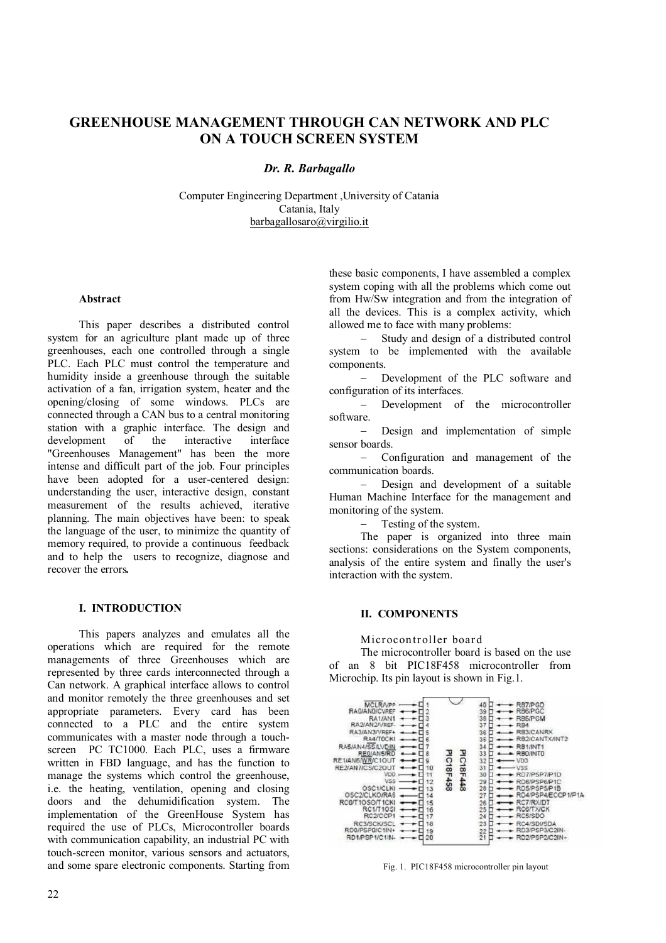# **GREENHOUSE MANAGEMENT THROUGH CAN NETWORK AND PLC ON A TOUCH SCREEN SYSTEM**

## *Dr. R. Barbagallo*

Computer Engineering Department ,University of Catania Catania, Italy barbagallosaro@virgilio.it

#### **Abstract**

This paper describes a distributed control system for an agriculture plant made up of three greenhouses, each one controlled through a single PLC. Each PLC must control the temperature and humidity inside a greenhouse through the suitable activation of a fan, irrigation system, heater and the opening/closing of some windows. PLCs are connected through a CAN bus to a central monitoring station with a graphic interface. The design and development of the interactive interface development "Greenhouses Management" has been the more intense and difficult part of the job. Four principles have been adopted for a user-centered design: understanding the user, interactive design, constant measurement of the results achieved, iterative planning. The main objectives have been: to speak the language of the user, to minimize the quantity of memory required, to provide a continuous feedback and to help the users to recognize, diagnose and recover the errors*.*

## **I. INTRODUCTION**

This papers analyzes and emulates all the operations which are required for the remote managements of three Greenhouses which are represented by three cards interconnected through a Can network. A graphical interface allows to control and monitor remotely the three greenhouses and set appropriate parameters. Every card has been connected to a PLC and the entire system communicates with a master node through a touchscreen PC TC1000. Each PLC, uses a firmware written in FBD language, and has the function to manage the systems which control the greenhouse, i.e. the heating, ventilation, opening and closing doors and the dehumidification system. The implementation of the GreenHouse System has required the use of PLCs, Microcontroller boards with communication capability, an industrial PC with touch-screen monitor, various sensors and actuators, and some spare electronic components. Starting from

these basic components, I have assembled a complex system coping with all the problems which come out from Hw/Sw integration and from the integration of all the devices. This is a complex activity, which allowed me to face with many problems:

 Study and design of a distributed control system to be implemented with the available components.

 Development of the PLC software and configuration of its interfaces.

 Development of the microcontroller software.

 Design and implementation of simple sensor boards.

- Configuration and management of the communication boards.

- Design and development of a suitable Human Machine Interface for the management and monitoring of the system.

Testing of the system.

The paper is organized into three main sections: considerations on the System components, analysis of the entire system and finally the user's interaction with the system.

#### **II. COMPONENTS**

Microcontroller board

The microcontroller board is based on the use of an 8 bit PIC18F458 microcontroller from Microchip. Its pin layout is shown in Fig.1.



Fig. 1. PIC18F458 microcontroller pin layout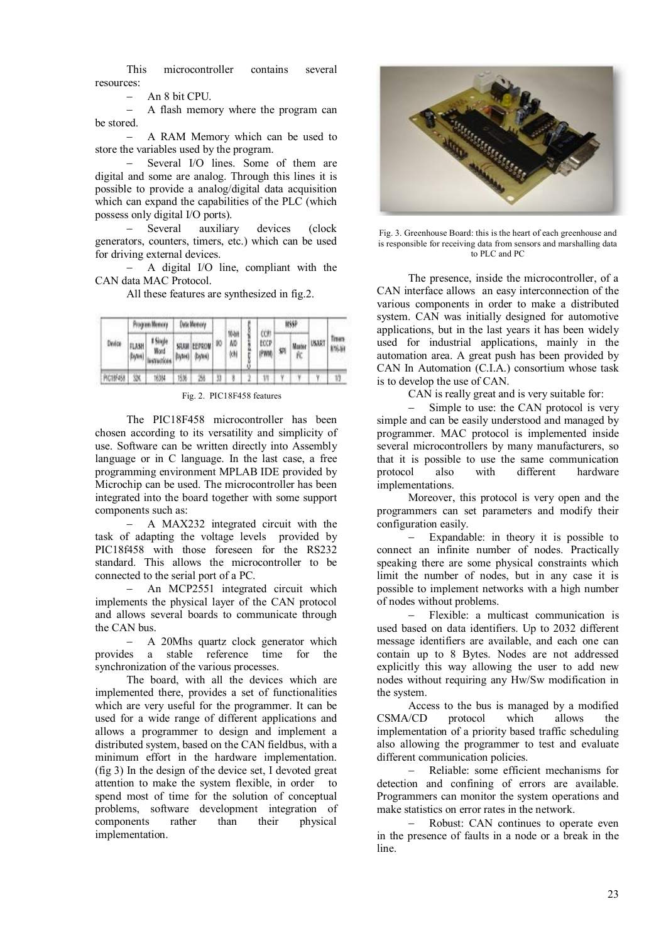This microcontroller contains several resources:

An 8 bit CPU.

 A flash memory where the program can be stored.

 A RAM Memory which can be used to store the variables used by the program.

 Several I/O lines. Some of them are digital and some are analog. Through this lines it is possible to provide a analog/digital data acquisition which can expand the capabilities of the PLC (which possess only digital I/O ports).<br>
- Several auxiliar

auxiliary devices (clock generators, counters, timers, etc.) which can be used for driving external devices.

 A digital I/O line, compliant with the CAN data MAC Protocol.

All these features are synthesized in fig.2.

| Device    | Program Memory   |                  | Data Memory |                           |   |                    |   |                      | mssp |    |              |                        |
|-----------|------------------|------------------|-------------|---------------------------|---|--------------------|---|----------------------|------|----|--------------|------------------------|
|           | FLASH<br>(kytes) | t Single<br>Word | (bytes)     | SRAM EEPROM 10<br>(bytes) |   | 10-bit<br>ΛĎ<br>ķΝ | Ű | con<br>ECCP<br>(PWM) | 蛚    | Ŕ. | Master USART | Timera<br><b>MG-31</b> |
| PIC10F458 | 欻                | 16384            | 15%         | 因                         | Ŋ |                    |   |                      |      |    |              | V)                     |

Fig. 2. PIC18F458 features

The PIC18F458 microcontroller has been chosen according to its versatility and simplicity of use. Software can be written directly into Assembly language or in C language. In the last case, a free programming environment MPLAB IDE provided by Microchip can be used. The microcontroller has been integrated into the board together with some support components such as:

 A MAX232 integrated circuit with the task of adapting the voltage levels provided by PIC18f458 with those foreseen for the RS232 standard. This allows the microcontroller to be connected to the serial port of a PC.

 An MCP2551 integrated circuit which implements the physical layer of the CAN protocol and allows several boards to communicate through the CAN bus.

 A 20Mhs quartz clock generator which provides a stable reference time for the synchronization of the various processes.

The board, with all the devices which are implemented there, provides a set of functionalities which are very useful for the programmer. It can be used for a wide range of different applications and allows a programmer to design and implement a distributed system, based on the CAN fieldbus, with a minimum effort in the hardware implementation. (fig 3) In the design of the device set, I devoted great attention to make the system flexible, in order to spend most of time for the solution of conceptual problems, software development integration of components rather than their physical implementation.



Fig. 3. Greenhouse Board: this is the heart of each greenhouse and is responsible for receiving data from sensors and marshalling data to PLC and PC

The presence, inside the microcontroller, of a CAN interface allows an easy interconnection of the various components in order to make a distributed system. CAN was initially designed for automotive applications, but in the last years it has been widely used for industrial applications, mainly in the automation area. A great push has been provided by CAN In Automation (C.I.A.) consortium whose task is to develop the use of CAN.

CAN is really great and is very suitable for:

 Simple to use: the CAN protocol is very simple and can be easily understood and managed by programmer. MAC protocol is implemented inside several microcontrollers by many manufacturers, so that it is possible to use the same communication<br>protocol also with different hardware protocol also with different hardware implementations.

Moreover, this protocol is very open and the programmers can set parameters and modify their configuration easily.

 Expandable: in theory it is possible to connect an infinite number of nodes. Practically speaking there are some physical constraints which limit the number of nodes, but in any case it is possible to implement networks with a high number of nodes without problems.

 Flexible: a multicast communication is used based on data identifiers. Up to 2032 different message identifiers are available, and each one can contain up to 8 Bytes. Nodes are not addressed explicitly this way allowing the user to add new nodes without requiring any Hw/Sw modification in the system.

Access to the bus is managed by a modified CSMA/CD protocol which allows the implementation of a priority based traffic scheduling also allowing the programmer to test and evaluate different communication policies.

 Reliable: some efficient mechanisms for detection and confining of errors are available. Programmers can monitor the system operations and make statistics on error rates in the network.

 Robust: CAN continues to operate even in the presence of faults in a node or a break in the line.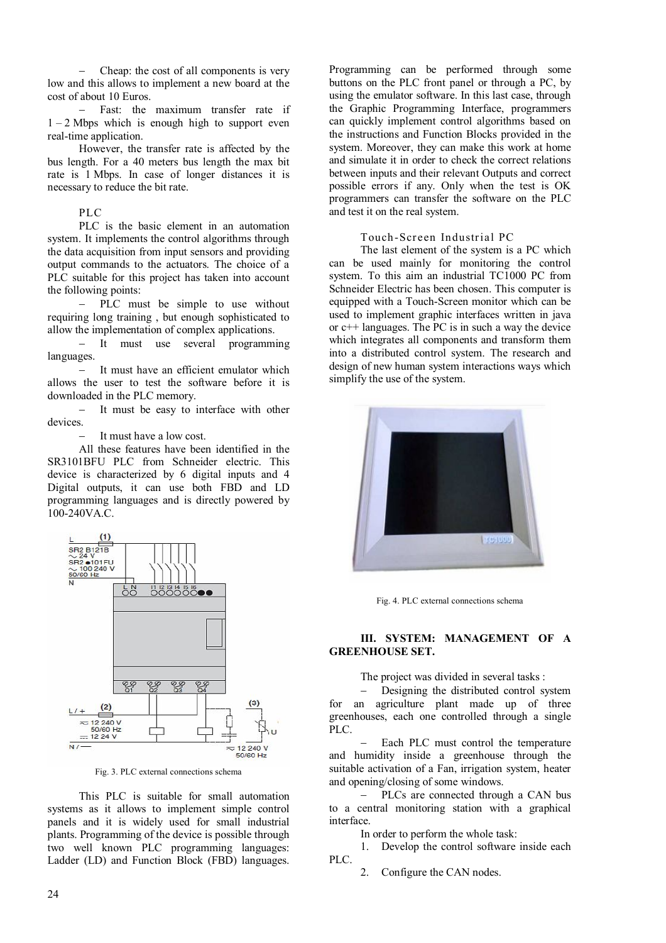Cheap: the cost of all components is very low and this allows to implement a new board at the cost of about 10 Euros.

 Fast: the maximum transfer rate if  $1 - 2$  Mbps which is enough high to support even real-time application.

However, the transfer rate is affected by the bus length. For a 40 meters bus length the max bit rate is 1 Mbps. In case of longer distances it is necessary to reduce the bit rate.

#### PLC

PLC is the basic element in an automation system. It implements the control algorithms through the data acquisition from input sensors and providing output commands to the actuators. The choice of a PLC suitable for this project has taken into account the following points:

 PLC must be simple to use without requiring long training , but enough sophisticated to allow the implementation of complex applications.

 It must use several programming languages.

- It must have an efficient emulator which allows the user to test the software before it is downloaded in the PLC memory.

 It must be easy to interface with other devices.

It must have a low cost.

All these features have been identified in the SR3101BFU PLC from Schneider electric. This device is characterized by 6 digital inputs and 4 Digital outputs, it can use both FBD and LD programming languages and is directly powered by 100-240VA.C.



Fig. 3. PLC external connections schema

This PLC is suitable for small automation systems as it allows to implement simple control panels and it is widely used for small industrial plants. Programming of the device is possible through two well known PLC programming languages: Ladder (LD) and Function Block (FBD) languages. Programming can be performed through some buttons on the PLC front panel or through a PC, by using the emulator software. In this last case, through the Graphic Programming Interface, programmers can quickly implement control algorithms based on the instructions and Function Blocks provided in the system. Moreover, they can make this work at home and simulate it in order to check the correct relations between inputs and their relevant Outputs and correct possible errors if any. Only when the test is OK programmers can transfer the software on the PLC and test it on the real system.

#### Touch-Screen Industrial PC

The last element of the system is a PC which can be used mainly for monitoring the control system. To this aim an industrial TC1000 PC from Schneider Electric has been chosen. This computer is equipped with a Touch-Screen monitor which can be used to implement graphic interfaces written in java or c++ languages. The PC is in such a way the device which integrates all components and transform them into a distributed control system. The research and design of new human system interactions ways which simplify the use of the system.



Fig. 4. PLC external connections schema

#### **III. SYSTEM: MANAGEMENT OF A GREENHOUSE SET.**

The project was divided in several tasks :

 Designing the distributed control system for an agriculture plant made up of three greenhouses, each one controlled through a single PLC.

 Each PLC must control the temperature and humidity inside a greenhouse through the suitable activation of a Fan, irrigation system, heater and opening/closing of some windows.

 PLCs are connected through a CAN bus to a central monitoring station with a graphical interface.

In order to perform the whole task:

1. Develop the control software inside each PLC.

2. Configure the CAN nodes.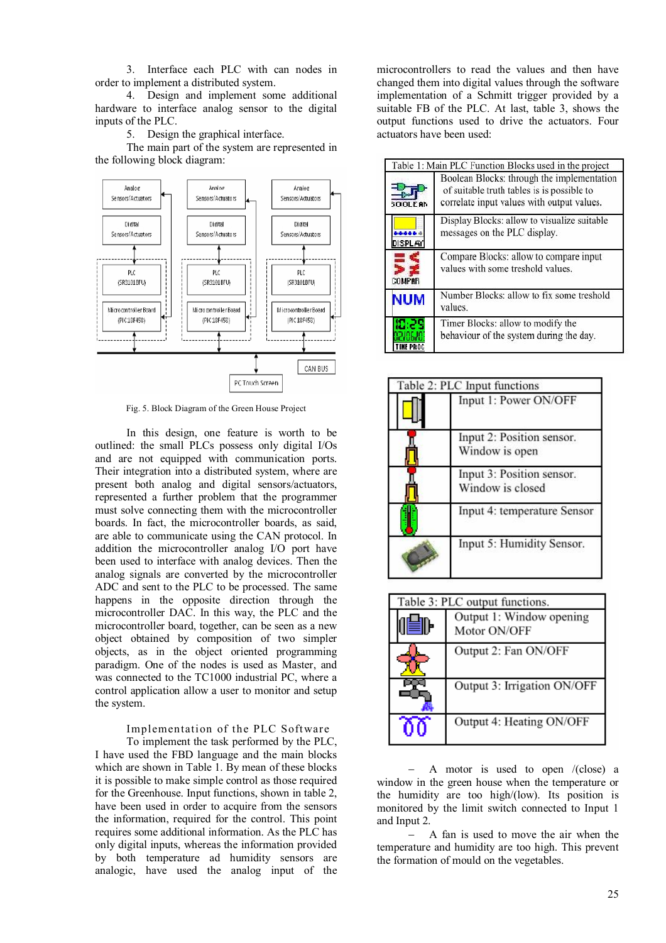3. Interface each PLC with can nodes in order to implement a distributed system.

4. Design and implement some additional hardware to interface analog sensor to the digital inputs of the PLC.

5. Design the graphical interface.

The main part of the system are represented in the following block diagram:



Fig. 5. Block Diagram of the Green House Project

In this design, one feature is worth to be outlined: the small PLCs possess only digital I/Os and are not equipped with communication ports. Their integration into a distributed system, where are present both analog and digital sensors/actuators, represented a further problem that the programmer must solve connecting them with the microcontroller boards. In fact, the microcontroller boards, as said, are able to communicate using the CAN protocol. In addition the microcontroller analog I/O port have been used to interface with analog devices. Then the analog signals are converted by the microcontroller ADC and sent to the PLC to be processed. The same happens in the opposite direction through the microcontroller DAC. In this way, the PLC and the microcontroller board, together, can be seen as a new object obtained by composition of two simpler objects, as in the object oriented programming paradigm. One of the nodes is used as Master, and was connected to the TC1000 industrial PC, where a control application allow a user to monitor and setup the system.

## Implementation of the PLC Software

To implement the task performed by the PLC, I have used the FBD language and the main blocks which are shown in Table 1. By mean of these blocks it is possible to make simple control as those required for the Greenhouse. Input functions, shown in table 2, have been used in order to acquire from the sensors the information, required for the control. This point requires some additional information. As the PLC has only digital inputs, whereas the information provided by both temperature ad humidity sensors are analogic, have used the analog input of the

microcontrollers to read the values and then have changed them into digital values through the software implementation of a Schmitt trigger provided by a suitable FB of the PLC. At last, table 3, shows the output functions used to drive the actuators. Four actuators have been used:

|                | Table 1: Main PLC Function Blocks used in the project                                                                                                                                                                 |  |  |  |  |
|----------------|-----------------------------------------------------------------------------------------------------------------------------------------------------------------------------------------------------------------------|--|--|--|--|
| <b>SOOLEAN</b> | Boolean Blocks: through the implementation<br>of suitable truth tables is is possible to<br>correlate input values with output values.<br>Display Blocks: allow to visualize suitable<br>messages on the PLC display. |  |  |  |  |
| <b>DISPLAY</b> |                                                                                                                                                                                                                       |  |  |  |  |
| <b>COMPAR</b>  | Compare Blocks: allow to compare input<br>values with some treshold values.                                                                                                                                           |  |  |  |  |
| <b>NUM</b>     | Number Blocks: allow to fix some treshold<br>values.                                                                                                                                                                  |  |  |  |  |
|                | Timer Blocks: allow to modify the<br>behaviour of the system during the day.                                                                                                                                          |  |  |  |  |

| Table 2: PLC Input functions |                                               |  |
|------------------------------|-----------------------------------------------|--|
|                              | Input 1: Power ON/OFF                         |  |
|                              | Input 2: Position sensor.<br>Window is open   |  |
|                              | Input 3: Position sensor.<br>Window is closed |  |
|                              | Input 4: temperature Sensor                   |  |
|                              | Input 5: Humidity Sensor.                     |  |

| Table 3: PLC output functions. |                                          |  |  |  |
|--------------------------------|------------------------------------------|--|--|--|
|                                | Output 1: Window opening<br>Motor ON/OFF |  |  |  |
|                                | Output 2: Fan ON/OFF                     |  |  |  |
|                                | Output 3: Irrigation ON/OFF              |  |  |  |
|                                | Output 4: Heating ON/OFF                 |  |  |  |

 $-$  A motor is used to open /(close) a window in the green house when the temperature or the humidity are too high/(low). Its position is monitored by the limit switch connected to Input 1 and Input 2.

 A fan is used to move the air when the temperature and humidity are too high. This prevent the formation of mould on the vegetables.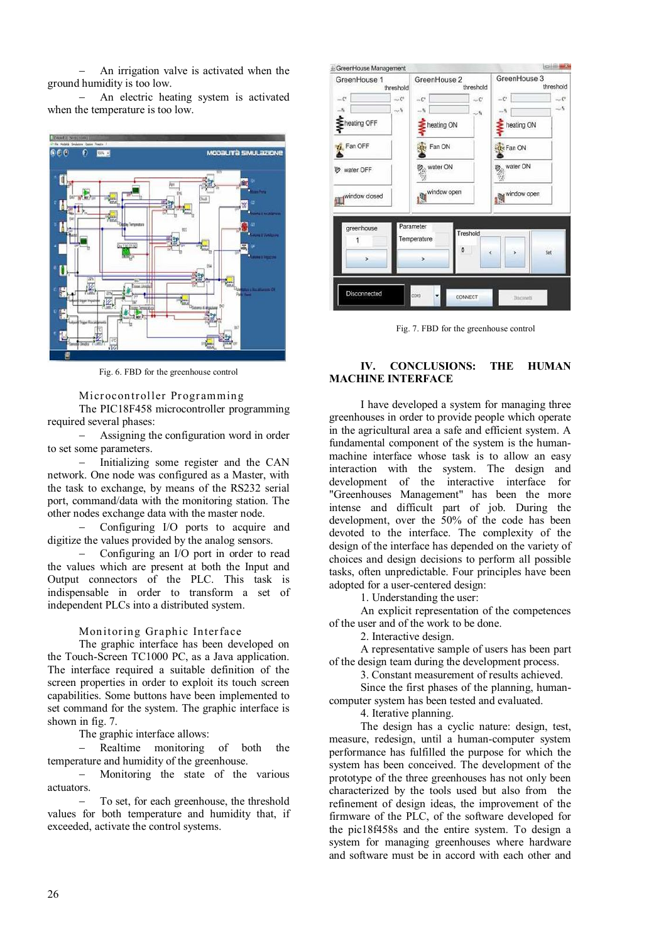An irrigation valve is activated when the ground humidity is too low.

 An electric heating system is activated when the temperature is too low.



Fig. 6. FBD for the greenhouse control

#### Microcontroller Programming

The PIC18F458 microcontroller programming required several phases:

 Assigning the configuration word in order to set some parameters.

 Initializing some register and the CAN network. One node was configured as a Master, with the task to exchange, by means of the RS232 serial port, command/data with the monitoring station. The other nodes exchange data with the master node.

 Configuring I/O ports to acquire and digitize the values provided by the analog sensors.

 Configuring an I/O port in order to read the values which are present at both the Input and Output connectors of the PLC. This task is indispensable in order to transform a set of independent PLCs into a distributed system.

#### Monitoring Graphic Interface

The graphic interface has been developed on the Touch-Screen TC1000 PC, as a Java application. The interface required a suitable definition of the screen properties in order to exploit its touch screen capabilities. Some buttons have been implemented to set command for the system. The graphic interface is shown in fig. 7.

The graphic interface allows:

 Realtime monitoring of both the temperature and humidity of the greenhouse.

- Monitoring the state of the various actuators.

 To set, for each greenhouse, the threshold values for both temperature and humidity that, if exceeded, activate the control systems.

| GreenHouse 1<br>threshold              | GreenHouse 2                                                              | threshold                                | GreenHouse 3<br>threshold                               |              |  |
|----------------------------------------|---------------------------------------------------------------------------|------------------------------------------|---------------------------------------------------------|--------------|--|
| $-C$<br>$-5$<br>heating OFF<br>Fan OFF | $\sim$ $C$ <sup>6</sup><br>$\ldots C^*$<br>$\sim$ 5<br>$-5$<br>the Fan ON | $\sim \mathbb{C}^*$<br>- 6<br>heating ON | $-C$<br>$-5$<br>heating ON                              | $-c$<br>$-5$ |  |
| water OFF<br>window closed             | owater ON<br>window open                                                  |                                          | <b>Ate Fan ON</b><br><b>B</b> , water ON<br>window open |              |  |
| greenhouse                             | Parameter<br>Temperature                                                  | Treshold<br>o<br>¢                       | s                                                       | Set          |  |
| s.<br>Disconnected                     | $\overline{ }$<br>COM3                                                    | CONNECT                                  | Disconetti                                              |              |  |

Fig. 7. FBD for the greenhouse control

## **IV. CONCLUSIONS: THE HUMAN MACHINE INTERFACE**

I have developed a system for managing three greenhouses in order to provide people which operate in the agricultural area a safe and efficient system. A fundamental component of the system is the humanmachine interface whose task is to allow an easy interaction with the system. The design and development of the interactive interface for "Greenhouses Management" has been the more intense and difficult part of job. During the development, over the 50% of the code has been devoted to the interface. The complexity of the design of the interface has depended on the variety of choices and design decisions to perform all possible tasks, often unpredictable. Four principles have been adopted for a user-centered design:

1. Understanding the user:

An explicit representation of the competences of the user and of the work to be done.

2. Interactive design.

A representative sample of users has been part of the design team during the development process.

3. Constant measurement of results achieved.

Since the first phases of the planning, humancomputer system has been tested and evaluated.

4. Iterative planning.

The design has a cyclic nature: design, test, measure, redesign, until a human-computer system performance has fulfilled the purpose for which the system has been conceived. The development of the prototype of the three greenhouses has not only been characterized by the tools used but also from the refinement of design ideas, the improvement of the firmware of the PLC, of the software developed for the pic18f458s and the entire system. To design a system for managing greenhouses where hardware and software must be in accord with each other and